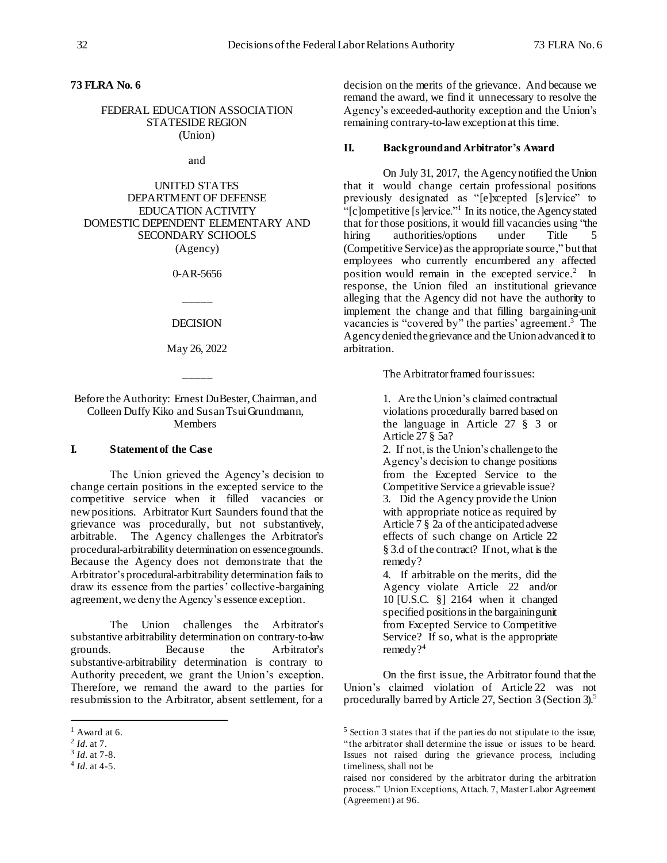# **73 FLRA No. 6**

### FEDERAL EDUCATION ASSOCIATION STATESIDE REGION (Union)

and

UNITED STATES DEPARTMENT OF DEFENSE EDUCATION ACTIVITY DOMESTIC DEPENDENT ELEMENTARY AND SECONDARY SCHOOLS (Agency)

0-AR-5656

DECISION

\_\_\_\_\_

May 26, 2022

\_\_\_\_\_

### Before the Authority: Ernest DuBester, Chairman, and Colleen Duffy Kiko and Susan TsuiGrundmann, Members

### **I. Statement of the Case**

The Union grieved the Agency's decision to change certain positions in the excepted service to the competitive service when it filled vacancies or newpositions. Arbitrator Kurt Saunders found that the grievance was procedurally, but not substantively, arbitrable. The Agency challenges the Arbitrator's procedural-arbitrability determination on essence grounds. Because the Agency does not demonstrate that the Arbitrator's procedural-arbitrability determination fails to draw its essence from the parties' collective-bargaining agreement, we deny the Agency's essence exception.

The Union challenges the Arbitrator's substantive arbitrability determination on contrary-to-law grounds. Because the Arbitrator's substantive-arbitrability determination is contrary to Authority precedent, we grant the Union's exception. Therefore, we remand the award to the parties for resubmission to the Arbitrator, absent settlement, for a

l

decision on the merits of the grievance. And because we remand the award, we find it unnecessary to resolve the Agency's exceeded-authority exception and the Union's remaining contrary-to-law exception at this time.

#### **II. Background and Arbitrator's Award**

On July 31, 2017, the Agency notified the Union that it would change certain professional positions previously designated as "[e]xcepted [s]ervice" to "[c]ompetitive [s]ervice."<sup>1</sup> In its notice, the Agency stated that for those positions, it would fill vacancies using "the hiring authorities/options under Title 5 (Competitive Service) as the appropriate source," but that employees who currently encumbered any affected position would remain in the excepted service.<sup>2</sup> In response, the Union filed an institutional grievance alleging that the Agency did not have the authority to implement the change and that filling bargaining-unit vacancies is "covered by" the parties' agreement.<sup>3</sup> The Agency denied the grievance and the Union advanced it to arbitration.

The Arbitrator framed four issues:

1. Are the Union's claimed contractual violations procedurally barred based on the language in Article 27 § 3 or Article 27 § 5a?

2. If not, is the Union's challenge to the Agency's decision to change positions from the Excepted Service to the Competitive Service a grievable issue? 3. Did the Agency provide the Union with appropriate notice as required by Article 7 § 2a of the anticipated adverse effects of such change on Article 22 § 3.d of the contract? If not, what is the remedy?

4. If arbitrable on the merits, did the Agency violate Article 22 and/or 10 [U.S.C. §] 2164 when it changed specified positions in the bargaining unit from Excepted Service to Competitive Service? If so, what is the appropriate remedy?<sup>4</sup>

On the first issue, the Arbitrator found that the Union's claimed violation of Article 22 was not procedurally barred by Article 27, Section 3 (Section 3).<sup>5</sup>

 $<sup>1</sup>$  Award at 6.</sup>

<sup>2</sup> *Id.* at 7.

<sup>3</sup> *Id.* at 7-8.

<sup>4</sup> *Id.* at 4-5.

<sup>5</sup> Section 3 states that if the parties do not stipulate to the issue, "the arbitrator shall determine the issue or issues to be heard. Issues not raised during the grievance process, including timeliness, shall not be

raised nor considered by the arbitrator during the arbitration process." Union Exceptions, Attach. 7, Master Labor Agreement (Agreement) at 96.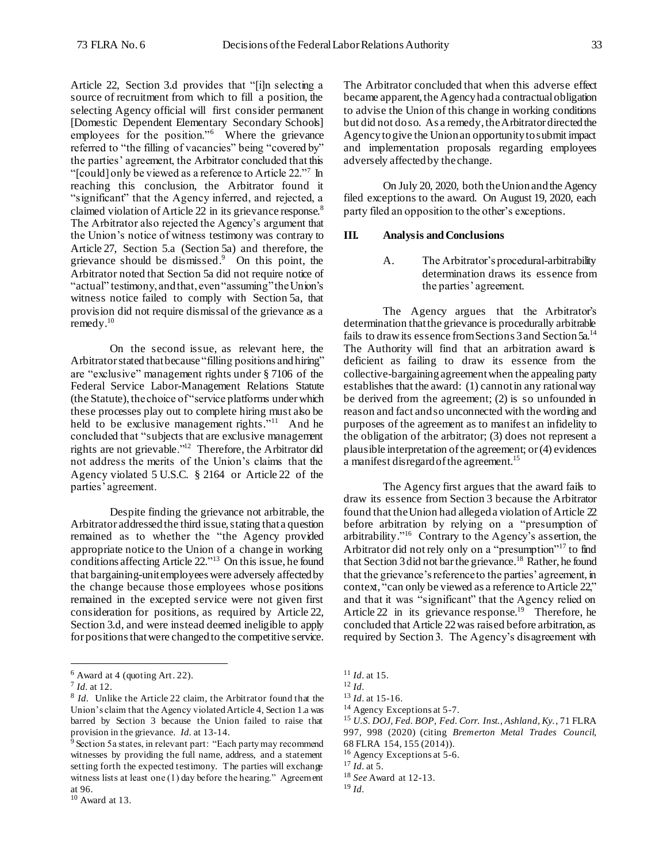Article 22, Section 3.d provides that "[i]n selecting a source of recruitment from which to fill a position, the selecting Agency official will first consider permanent [Domestic Dependent Elementary Secondary Schools] employees for the position."<sup>6</sup> Where the grievance referred to "the filling of vacancies" being "covered by" the parties' agreement, the Arbitrator concluded that this "[could] only be viewed as a reference to Article 22."<sup>7</sup> In reaching this conclusion, the Arbitrator found it "significant" that the Agency inferred, and rejected, a claimed violation of Article 22 in its grievance response.<sup>8</sup> The Arbitrator also rejected the Agency's argument that the Union's notice of witness testimony was contrary to Article 27, Section 5.a (Section 5a) and therefore, the grievance should be dismissed. 9 On this point, the Arbitrator noted that Section 5a did not require notice of "actual" testimony, and that, even "assuming" the Union's witness notice failed to comply with Section 5a, that provision did not require dismissal of the grievance as a  $remedy.<sup>10</sup>$ 

On the second issue, as relevant here, the Arbitrator stated that because "filling positions and hiring" are "exclusive" management rights under § 7106 of the Federal Service Labor-Management Relations Statute (the Statute), the choice of "service platforms underwhich these processes play out to complete hiring must also be held to be exclusive management rights."<sup>11</sup> And he concluded that "subjects that are exclusive management rights are not grievable."<sup>12</sup> Therefore, the Arbitrator did not address the merits of the Union's claims that the Agency violated 5 U.S.C. § 2164 or Article 22 of the parties' agreement.

Despite finding the grievance not arbitrable, the Arbitrator addressed the third issue, stating that a question remained as to whether the "the Agency provided appropriate notice to the Union of a change in working conditions affecting Article 22."<sup>13</sup> On this issue, he found that bargaining-unit employees were adversely affected by the change because those employees whose positions remained in the excepted service were not given first consideration for positions, as required by Article 22, Section 3.d, and were instead deemed ineligible to apply for positions that were changed to the competitive service.

l

The Arbitrator concluded that when this adverse effect became apparent, the Agency had a contractual obligation to advise the Union of this change in working conditions but did not do so. As a remedy, the Arbitrator directed the Agency to give the Union an opportunity to submit impact and implementation proposals regarding employees adversely affected by the change.

On July 20, 2020, both theUnion and the Agency filed exceptions to the award. On August 19, 2020, each party filed an opposition to the other's exceptions.

#### **III. Analysis and Conclusions**

A. The Arbitrator's procedural-arbitrability determination draws its essence from the parties' agreement.

The Agency argues that the Arbitrator's determination that the grievance is procedurally arbitrable fails to draw its essence from Sections 3 and Section 5a.<sup>14</sup> The Authority will find that an arbitration award is deficient as failing to draw its essence from the collective-bargaining agreement when the appealing party establishes that the award: (1) cannot in any rational way be derived from the agreement; (2) is so unfounded in reason and fact and so unconnected with the wording and purposes of the agreement as to manifest an infidelity to the obligation of the arbitrator; (3) does not represent a plausible interpretation of the agreement; or (4) evidences a manifest disregard of the agreement. 15

The Agency first argues that the award fails to draw its essence from Section 3 because the Arbitrator found that the Union had alleged a violation of Article  $22$ before arbitration by relying on a "presumption of arbitrability." 16 Contrary to the Agency's assertion, the Arbitrator did not rely only on a "presumption"<sup>17</sup> to find that Section 3 did not bar the grievance.<sup>18</sup> Rather, he found that the grievance's reference to the parties' agreement, in context, "can only be viewed as a reference to Article 22," and that it was "significant" that the Agency relied on Article 22 in its grievance response.<sup>19</sup> Therefore, he concluded that Article 22 was raised before arbitration, as required by Section 3. The Agency's disagreement with

<sup>14</sup> Agency Exceptions at 5-7.

<sup>6</sup> Award at 4 (quoting Art. 22).

<sup>7</sup> *Id.* at 12.

<sup>&</sup>lt;sup>8</sup> *Id.* Unlike the Article 22 claim, the Arbitrator found that the Union's claim that the Agency violated Article 4, Section 1.a was barred by Section 3 because the Union failed to raise that provision in the grievance. *Id.* at 13-14.

<sup>&</sup>lt;sup>9</sup> Section 5a states, in relevant part: "Each party may recommend witnesses by providing the full name, address, and a statement setting forth the expected testimony. The parties will exchange witness lists at least one (1) day before the hearing." Agreement at 96.

 $10$  Award at 13.

<sup>11</sup> *Id.* at 15.

<sup>12</sup> *Id.*

<sup>13</sup> *Id.* at 15-16.

<sup>15</sup> *U.S. DOJ, Fed. BOP, Fed. Corr. Inst., Ashland, Ky.*, 71 FLRA 997, 998 (2020) (citing *Bremerton Metal Trades Council*, 68 FLRA 154, 155 (2014)).

<sup>&</sup>lt;sup>16</sup> Agency Exceptions at 5-6.

<sup>17</sup> *Id.* at 5.

<sup>18</sup> *See* Award at 12-13.

<sup>19</sup> *Id.*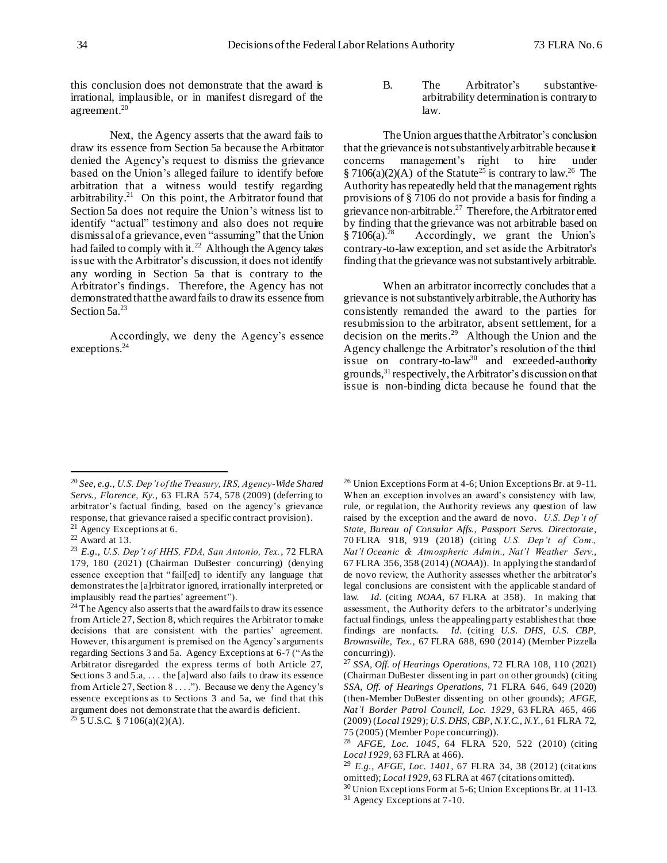this conclusion does not demonstrate that the award is irrational, implausible, or in manifest disregard of the agreement.<sup>20</sup>

Next, the Agency asserts that the award fails to draw its essence from Section 5a because the Arbitrator denied the Agency's request to dismiss the grievance based on the Union's alleged failure to identify before arbitration that a witness would testify regarding arbitrability.<sup>21</sup> On this point, the Arbitrator found that Section 5a does not require the Union's witness list to identify "actual" testimony and also does not require dismissal of a grievance, even "assuming" that the Union had failed to comply with it.<sup>22</sup> Although the Agency takes issue with the Arbitrator's discussion, it does not identify any wording in Section 5a that is contrary to the Arbitrator's findings. Therefore, the Agency has not demonstratedthat the award fails to draw its essence from Section 5a.<sup>23</sup>

Accordingly, we deny the Agency's essence exceptions. 24

B. The Arbitrator's substantivearbitrability determination is contrary to law.

The Union argues that the Arbitrator's conclusion that the grievance is not substantively arbitrable because it concerns management's right to hire under § 7106(a)(2)(A) of the Statute<sup>25</sup> is contrary to law.<sup>26</sup> The Authority has repeatedly held that the management rights provisions of § 7106 do not provide a basis for finding a grievance non-arbitrable.<sup>27</sup> Therefore, the Arbitrator erred by finding that the grievance was not arbitrable based on  $§7106(a).^{28}$  Accordingly, we grant the Union's contrary-to-law exception, and set aside the Arbitrator's finding that the grievance was not substantively arbitrable.

When an arbitrator incorrectly concludes that a grievance is not substantively arbitrable, the Authority has consistently remanded the award to the parties for resubmission to the arbitrator, absent settlement, for a decision on the merits.<sup>29</sup> Although the Union and the Agency challenge the Arbitrator's resolution of the third issue on contrary-to-law<sup>30</sup> and exceeded-authority grounds,  $31$  respectively, the Arbitrator's discussion on that issue is non-binding dicta because he found that the

j

<sup>20</sup> *See, e.g.*, *U.S. Dep't of the Treasury, IRS, Agency-Wide Shared Servs., Florence, Ky.*, 63 FLRA 574, 578 (2009) (deferring to arbitrator's factual finding, based on the agency's grievance response, that grievance raised a specific contract provision).

<sup>&</sup>lt;sup>21</sup> Agency Exceptions at 6.

 $22$  Award at 13.

<sup>23</sup> *E.g.*, *U.S. Dep't of HHS, FDA, San Antonio, Tex.*, 72 FLRA 179, 180 (2021) (Chairman DuBester concurring) (denying essence exception that "fail[ed] to identify any language that demonstrates the [a]rbitrator ignored, irrationally interpreted, or implausibly read the parties' agreement").

<sup>&</sup>lt;sup>24</sup> The Agency also asserts that the award fails to draw its essence from Article 27, Section 8, which requires the Arbitrator to make decisions that are consistent with the parties' agreement. However, this argument is premised on the Agency's arguments regarding Sections 3 and 5a. Agency Exceptions at 6-7 ("As the Arbitrator disregarded the express terms of both Article 27, Sections 3 and 5.a, ... the [a]ward also fails to draw its essence from Article 27, Section 8 . . . ."). Because we deny the Agency's essence exceptions as to Sections 3 and 5a, we find that this argument does not demonstrate that the award is deficient.  $25$  5 U.S.C. § 7106(a)(2)(A).

 $26$  Union Exceptions Form at 4-6; Union Exceptions Br. at 9-11. When an exception involves an award's consistency with law, rule, or regulation, the Authority reviews any question of law raised by the exception and the award de novo. *U.S. Dep't of State, Bureau of Consular Affs., Passport Servs. Directorate*, 70 FLRA 918, 919 (2018) (citing *U.S. Dep't of Com., Nat'l Oceanic & Atmospheric Admin., Nat'l Weather Serv.*, 67 FLRA 356, 358 (2014) (*NOAA*)). In applying the standard of de novo review, the Authority assesses whether the arbitrator's legal conclusions are consistent with the applicable standard of law. *Id.* (citing *NOAA*, 67 FLRA at 358). In making that assessment, the Authority defers to the arbitrator's underlying factual findings, unless the appealing party establishes that those findings are nonfacts. *Id.* (citing *U.S. DHS, U.S. CBP, Brownsville, Tex.*, 67 FLRA 688, 690 (2014) (Member Pizzella concurring)).

<sup>27</sup> *SSA, Off. of Hearings Operations*, 72 FLRA 108, 110 (2021) (Chairman DuBester dissenting in part on other grounds) (citing *SSA, Off. of Hearings Operations*, 71 FLRA 646, 649 (2020) (then-Member DuBester dissenting on other grounds); *AFGE, Nat'l Border Patrol Council, Loc. 1929*, 63 FLRA 465, 466 (2009) (*Local 1929*); *U.S. DHS, CBP, N.Y.C., N.Y.*, 61 FLRA 72, 75 (2005) (Member Pope concurring)).

<sup>28</sup> *AFGE, Loc. 1045*, 64 FLRA 520, 522 (2010) (citing *Local 1929*, 63 FLRA at 466).

<sup>29</sup> *E.g.*, *AFGE, Loc. 1401*, 67 FLRA 34, 38 (2012) (citations omitted); *Local 1929*, 63 FLRA at 467 (citations omitted).

<sup>&</sup>lt;sup>30</sup> Union Exceptions Form at 5-6; Union Exceptions Br. at 11-13. <sup>31</sup> Agency Exceptions at 7-10.